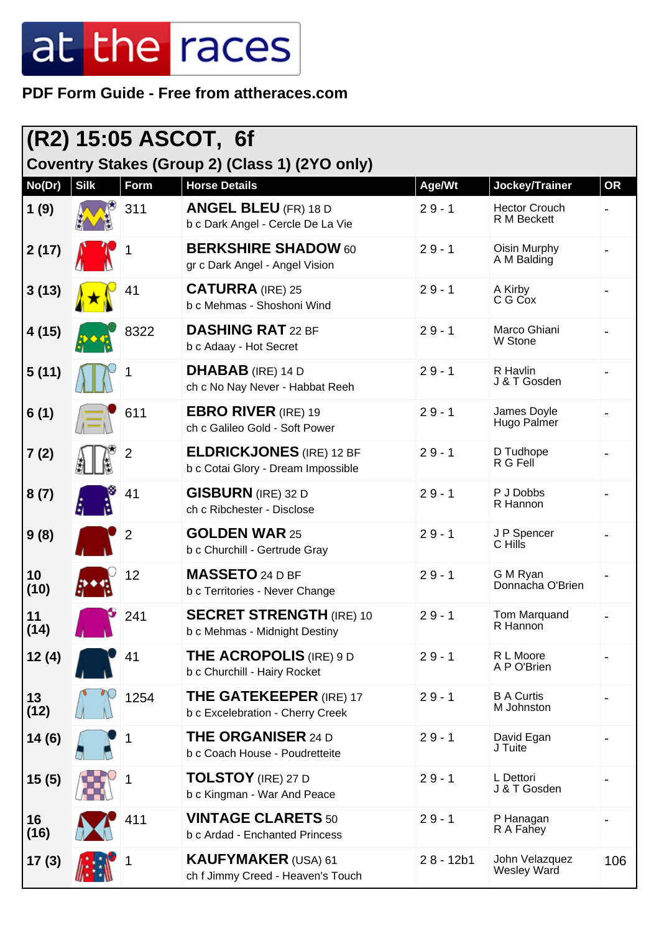#### **PDF Form Guide - Free from attheraces.com**

|            |             |                | $ $ (R2) 15:05 ASCOT, 6f                                               |             |                                      |           |
|------------|-------------|----------------|------------------------------------------------------------------------|-------------|--------------------------------------|-----------|
| No(Dr)     | <b>Silk</b> | Form           | Coventry Stakes (Group 2) (Class 1) (2YO only)<br><b>Horse Details</b> | Age/Wt      | Jockey/Trainer                       | <b>OR</b> |
| 1(9)       |             | 311            | <b>ANGEL BLEU</b> (FR) 18 D<br>b c Dark Angel - Cercle De La Vie       | $29 - 1$    | <b>Hector Crouch</b><br>R M Beckett  |           |
| 2(17)      |             |                | <b>BERKSHIRE SHADOW 60</b><br>gr c Dark Angel - Angel Vision           | $29 - 1$    | Oisin Murphy<br>A M Balding          |           |
| 3(13)      |             | 41             | <b>CATURRA</b> (IRE) 25<br>b c Mehmas - Shoshoni Wind                  | $29 - 1$    | A Kirby<br>C G Cox                   |           |
| 4(15)      |             | 8322           | <b>DASHING RAT 22 BF</b><br>b c Adaay - Hot Secret                     | $29 - 1$    | Marco Ghiani<br>W Stone              |           |
| 5(11)      |             |                | <b>DHABAB</b> (IRE) 14 D<br>ch c No Nay Never - Habbat Reeh            | $29 - 1$    | R Havlin<br>J & T Gosden             |           |
| 6(1)       |             | 611            | <b>EBRO RIVER</b> (IRE) 19<br>ch c Galileo Gold - Soft Power           | $29 - 1$    | James Doyle<br>Hugo Palmer           |           |
| 7(2)       |             | 2              | <b>ELDRICKJONES</b> (IRE) 12 BF<br>b c Cotai Glory - Dream Impossible  | $29 - 1$    | D Tudhope<br>R G Fell                |           |
| 8(7)       |             | 41             | <b>GISBURN</b> (IRE) 32 D<br>ch c Ribchester - Disclose                | $29 - 1$    | P J Dobbs<br>R Hannon                |           |
| 9(8)       |             | $\overline{2}$ | <b>GOLDEN WAR 25</b><br>b c Churchill - Gertrude Gray                  | $29 - 1$    | J P Spencer<br>C Hills               |           |
| 10<br>(10) |             | 12             | <b>MASSETO 24 D BF</b><br>b c Territories - Never Change               | $29 - 1$    | G M Ryan<br>Donnacha O'Brien         |           |
| 11<br>(14) |             | 241            | <b>SECRET STRENGTH (IRE) 10</b><br>b c Mehmas - Midnight Destiny       | $29 - 1$    | Tom Marquand<br>R Hannon             |           |
| 12(4)      |             | 41             | <b>THE ACROPOLIS</b> (IRE) 9 D<br>b c Churchill - Hairy Rocket         | $29 - 1$    | R L Moore<br>A P O'Brien             |           |
| 13<br>(12) |             | 1254           | <b>THE GATEKEEPER (IRE) 17</b><br>b c Excelebration - Cherry Creek     | $29 - 1$    | <b>B A Curtis</b><br>M Johnston      |           |
| 14(6)      |             |                | <b>THE ORGANISER 24 D</b><br>b c Coach House - Poudretteite            | $29 - 1$    | David Egan<br>J Tuite                |           |
| 15(5)      |             |                | <b>TOLSTOY</b> (IRE) 27 D<br>b c Kingman - War And Peace               | $29 - 1$    | L Dettori<br>J & T Gosden            |           |
| 16<br>(16) |             | 411            | <b>VINTAGE CLARETS 50</b><br>b c Ardad - Enchanted Princess            | $29 - 1$    | P Hanagan<br>R A Fahey               |           |
| 17(3)      |             |                | <b>KAUFYMAKER (USA) 61</b><br>ch f Jimmy Creed - Heaven's Touch        | $28 - 12b1$ | John Velazquez<br><b>Wesley Ward</b> | 106       |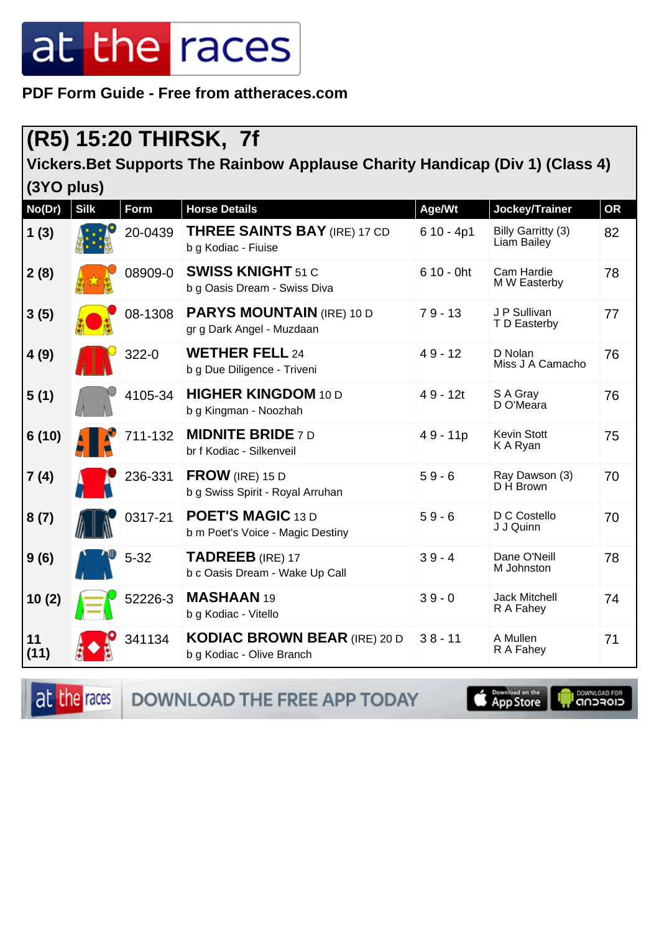**PDF Form Guide - Free from attheraces.com**

### **(R5) 15:20 THIRSK, 7f**

**Vickers.Bet Supports The Rainbow Applause Charity Handicap (Div 1) (Class 4) (3YO plus)**

| No(Dr)     | <b>Silk</b> | Form      | <b>Horse Details</b>                                             | Age/Wt       | Jockey/Trainer                    | <b>OR</b> |
|------------|-------------|-----------|------------------------------------------------------------------|--------------|-----------------------------------|-----------|
| 1(3)       |             | 20-0439   | <b>THREE SAINTS BAY</b> (IRE) 17 CD<br>b g Kodiac - Fiuise       | $610 - 4p1$  | Billy Garritty (3)<br>Liam Bailey | 82        |
| 2(8)       |             | 08909-0   | <b>SWISS KNIGHT 51 C</b><br>b g Oasis Dream - Swiss Diva         | $610 - 0$ ht | Cam Hardie<br>M W Easterby        | 78        |
| 3(5)       |             | 08-1308   | <b>PARYS MOUNTAIN (IRE) 10 D</b><br>gr g Dark Angel - Muzdaan    | $79 - 13$    | J P Sullivan<br>T D Easterby      | 77        |
| 4(9)       |             | $322 - 0$ | <b>WETHER FELL 24</b><br>b g Due Diligence - Triveni             | $49 - 12$    | D Nolan<br>Miss J A Camacho       | 76        |
| 5(1)       |             | 4105-34   | <b>HIGHER KINGDOM 10 D</b><br>b g Kingman - Noozhah              | $49 - 12t$   | S A Gray<br>D O'Meara             | 76        |
| 6(10)      |             | 711-132   | <b>MIDNITE BRIDE 7D</b><br>br f Kodiac - Silkenveil              | 49 - 11p     | <b>Kevin Stott</b><br>K A Ryan    | 75        |
| 7(4)       |             | 236-331   | FROW (IRE) 15 D<br>b g Swiss Spirit - Royal Arruhan              | $59 - 6$     | Ray Dawson (3)<br>D H Brown       | 70        |
| 8(7)       |             | 0317-21   | <b>POET'S MAGIC 13 D</b><br>b m Poet's Voice - Magic Destiny     | $59 - 6$     | D C Costello<br>J J Quinn         | 70        |
| 9(6)       |             | $5 - 32$  | <b>TADREEB</b> (IRE) 17<br>b c Oasis Dream - Wake Up Call        | $39 - 4$     | Dane O'Neill<br>M Johnston        | 78        |
| 10(2)      |             | 52226-3   | MASHAAN 19<br>b g Kodiac - Vitello                               | $39 - 0$     | Jack Mitchell<br>R A Fahey        | 74        |
| 11<br>(11) |             | 341134    | <b>KODIAC BROWN BEAR (IRE) 20 D</b><br>b g Kodiac - Olive Branch | $38 - 11$    | A Mullen<br>R A Fahey             | 71        |

at the races DOWNLOAD THE FREE APP TODAY **Example of the App Store I DOWNLOAD FOR**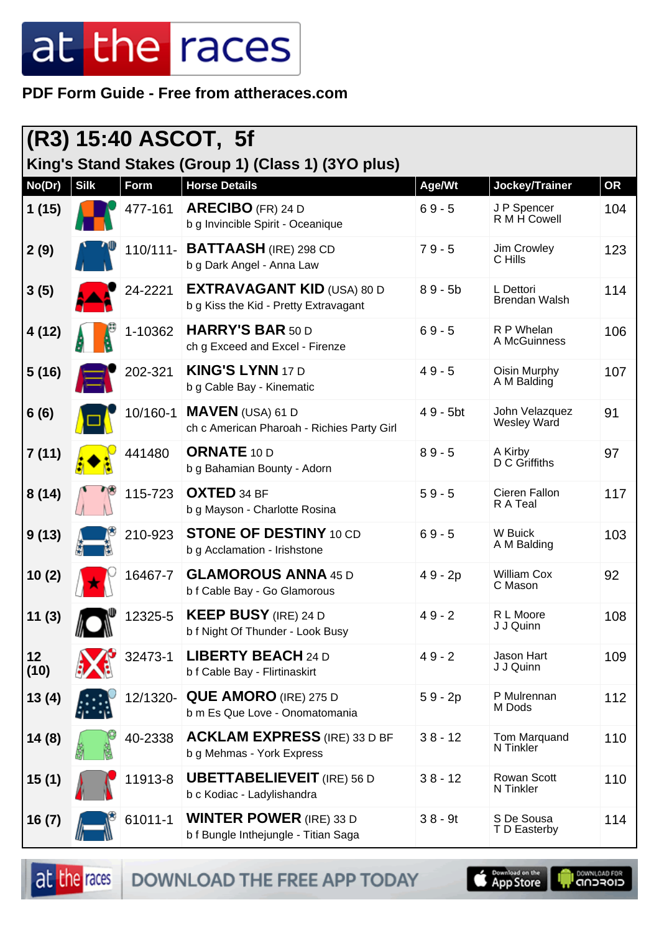#### **PDF Form Guide - Free from attheraces.com**

|            | (R3) 15:40 ASCOT, 5f |             |                                                                            |           |                                      |     |  |  |
|------------|----------------------|-------------|----------------------------------------------------------------------------|-----------|--------------------------------------|-----|--|--|
| No(Dr)     | <b>Silk</b>          | <b>Form</b> | King's Stand Stakes (Group 1) (Class 1) (3YO plus)<br><b>Horse Details</b> | Age/Wt    | Jockey/Trainer                       | OR  |  |  |
| 1(15)      |                      | 477-161     | <b>ARECIBO</b> (FR) 24 D<br>b g Invincible Spirit - Oceanique              | $69 - 5$  | J P Spencer<br>R M H Cowell          | 104 |  |  |
| 2(9)       |                      | $110/111 -$ | <b>BATTAASH</b> (IRE) 298 CD<br>b g Dark Angel - Anna Law                  | $79 - 5$  | Jim Crowley<br>C Hills               | 123 |  |  |
| 3(5)       |                      | 24-2221     | <b>EXTRAVAGANT KID (USA) 80 D</b><br>b g Kiss the Kid - Pretty Extravagant | $89 - 5b$ | L Dettori<br><b>Brendan Walsh</b>    | 114 |  |  |
| 4(12)      |                      | 1-10362     | <b>HARRY'S BAR 50 D</b><br>ch g Exceed and Excel - Firenze                 | $69 - 5$  | R P Whelan<br>A McGuinness           | 106 |  |  |
| 5(16)      |                      | 202-321     | <b>KING'S LYNN 17 D</b><br>b g Cable Bay - Kinematic                       | $49 - 5$  | Oisin Murphy<br>A M Balding          | 107 |  |  |
| 6(6)       |                      | 10/160-1    | <b>MAVEN</b> (USA) 61 D<br>ch c American Pharoah - Richies Party Girl      | 49 - 5bt  | John Velazquez<br><b>Wesley Ward</b> | 91  |  |  |
| 7(11)      |                      | 441480      | <b>ORNATE 10 D</b><br>b g Bahamian Bounty - Adorn                          | $89 - 5$  | A Kirby<br>D C Griffiths             | 97  |  |  |
| 8(14)      |                      | 115-723     | <b>OXTED 34 BF</b><br>b g Mayson - Charlotte Rosina                        | $59 - 5$  | Cieren Fallon<br>R A Teal            | 117 |  |  |
| 9(13)      |                      | 210-923     | <b>STONE OF DESTINY 10 CD</b><br>b g Acclamation - Irishstone              | $69 - 5$  | W Buick<br>A M Balding               | 103 |  |  |
| 10(2)      |                      | 16467-7     | <b>GLAMOROUS ANNA 45 D</b><br>b f Cable Bay - Go Glamorous                 | 49 - 2p   | <b>William Cox</b><br>C Mason        | 92  |  |  |
| 11(3)      |                      | 12325-5     | <b>KEEP BUSY</b> (IRE) 24 D<br>b f Night Of Thunder - Look Busy            | $49 - 2$  | R L Moore<br>J J Quinn               | 108 |  |  |
| 12<br>(10) |                      | 32473-1     | <b>LIBERTY BEACH 24 D</b><br>b f Cable Bay - Flirtinaskirt                 | $49 - 2$  | Jason Hart<br>J J Quinn              | 109 |  |  |
| 13(4)      |                      | 12/1320-    | <b>QUE AMORO (IRE) 275 D</b><br>b m Es Que Love - Onomatomania             | $59 - 2p$ | P Mulrennan<br>M Dods                | 112 |  |  |
| 14(8)      |                      | 40-2338     | <b>ACKLAM EXPRESS</b> (IRE) 33 D BF<br>b g Mehmas - York Express           | $38 - 12$ | Tom Marquand<br>N Tinkler            | 110 |  |  |
| 15(1)      |                      | 11913-8     | <b>UBETTABELIEVEIT</b> (IRE) 56 D<br>b c Kodiac - Ladylishandra            | $38 - 12$ | Rowan Scott<br>N Tinkler             | 110 |  |  |
| 16(7)      |                      | 61011-1     | <b>WINTER POWER</b> (IRE) 33 D<br>b f Bungle Inthejungle - Titian Saga     | $38 - 9t$ | S De Sousa<br>T D Easterby           | 114 |  |  |

DOWNLOAD THE FREE APP TODAY

at the races

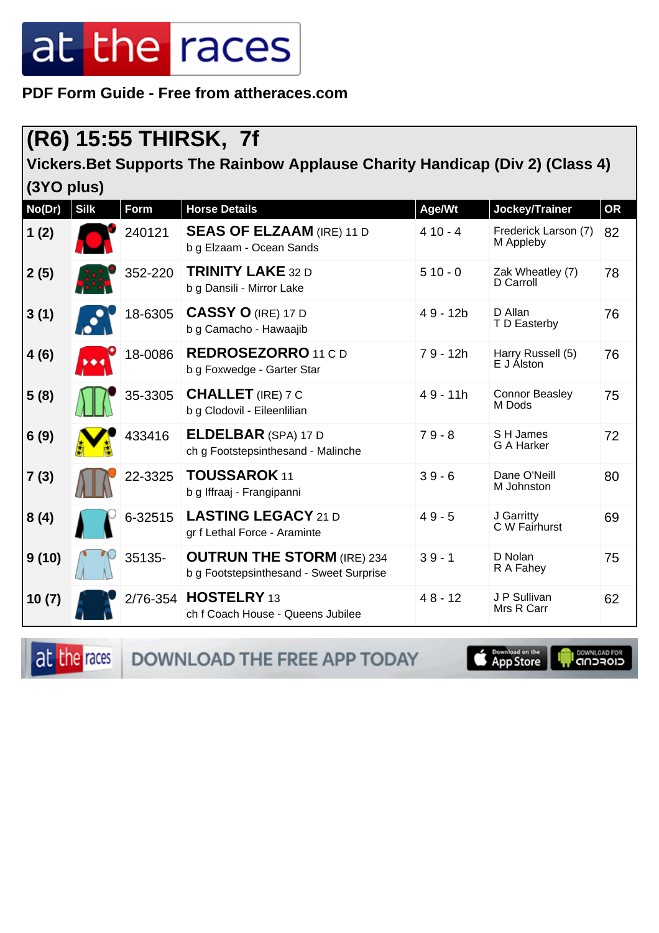**PDF Form Guide - Free from attheraces.com**

### **(R6) 15:55 THIRSK, 7f**

**Vickers.Bet Supports The Rainbow Applause Charity Handicap (Div 2) (Class 4) (3YO plus)**

| No(Dr) | <b>Silk</b> | <b>Form</b> | <b>Horse Details</b>                                                         | Age/Wt     | Jockey/Trainer                    | <b>OR</b> |
|--------|-------------|-------------|------------------------------------------------------------------------------|------------|-----------------------------------|-----------|
| 1(2)   |             | 240121      | <b>SEAS OF ELZAAM (IRE) 11 D</b><br>b g Elzaam - Ocean Sands                 | $410 - 4$  | Frederick Larson (7)<br>M Appleby | 82        |
| 2(5)   |             | 352-220     | <b>TRINITY LAKE 32 D</b><br>b g Dansili - Mirror Lake                        | $510 - 0$  | Zak Wheatley (7)<br>D Carroll     | 78        |
| 3(1)   |             | 18-6305     | <b>CASSY O (IRE) 17 D</b><br>b g Camacho - Hawaajib                          | $49 - 12b$ | D Allan<br>T D Easterby           | 76        |
| 4(6)   |             | 18-0086     | <b>REDROSEZORRO</b> 11 C D<br>b g Foxwedge - Garter Star                     | $79 - 12h$ | Harry Russell (5)<br>E J Álston   | 76        |
| 5(8)   |             | 35-3305     | <b>CHALLET</b> (IRE) 7 C<br>b g Clodovil - Eileenlilian                      | $49 - 11h$ | <b>Connor Beasley</b><br>M Dods   | 75        |
| 6(9)   |             | 433416      | <b>ELDELBAR</b> (SPA) 17 D<br>ch g Footstepsinthesand - Malinche             | $79 - 8$   | S H James<br>G A Harker           | 72        |
| 7(3)   |             | 22-3325     | <b>TOUSSAROK 11</b><br>b g Iffraaj - Frangipanni                             | $39 - 6$   | Dane O'Neill<br>M Johnston        | 80        |
| 8(4)   |             | 6-32515     | <b>LASTING LEGACY 21 D</b><br>gr f Lethal Force - Araminte                   | $49 - 5$   | J Garritty<br>C W Fairhurst       | 69        |
| 9(10)  |             | 35135-      | <b>OUTRUN THE STORM (IRE) 234</b><br>b g Footstepsinthesand - Sweet Surprise | $39 - 1$   | D Nolan<br>R A Fahey              | 75        |
| 10(7)  |             |             | 2/76-354 HOSTELRY 13<br>ch f Coach House - Queens Jubilee                    | $48 - 12$  | J P Sullivan<br>Mrs R Carr        | 62        |

at the races

DOWNLOAD THE FREE APP TODAY

App Store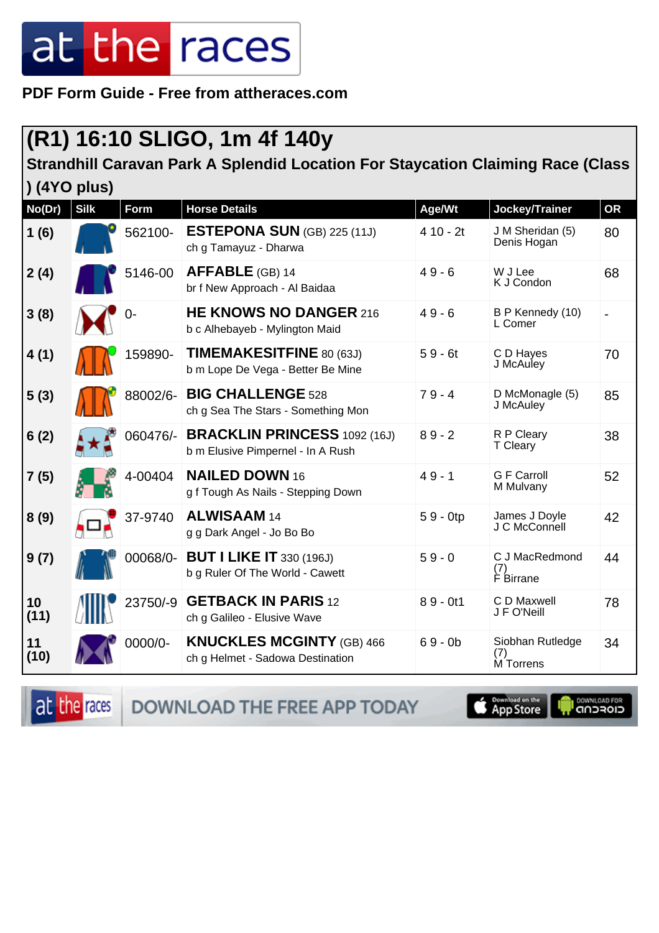**PDF Form Guide - Free from attheraces.com**

### **(R1) 16:10 SLIGO, 1m 4f 140y**

**Strandhill Caravan Park A Splendid Location For Staycation Claiming Race (Class**

|              |             |          | <b>187811 - 811171 Opionara Location I of Glaybation C</b>               |            |                                        |    |
|--------------|-------------|----------|--------------------------------------------------------------------------|------------|----------------------------------------|----|
| ) (4YO plus) |             |          |                                                                          |            |                                        |    |
| No(Dr)       | <b>Silk</b> | Form     | <b>Horse Details</b>                                                     | Age/Wt     | Jockey/Trainer                         | OR |
| 1(6)         |             | 562100-  | <b>ESTEPONA SUN</b> (GB) 225 (11J)<br>ch g Tamayuz - Dharwa              | $410 - 2t$ | J M Sheridan (5)<br>Denis Hogan        | 80 |
| 2(4)         |             | 5146-00  | <b>AFFABLE</b> (GB) 14<br>br f New Approach - Al Baidaa                  | $49 - 6$   | W J Lee<br>K J Condon                  | 68 |
| 3(8)         |             | 0-       | <b>HE KNOWS NO DANGER 216</b><br>b c Alhebayeb - Mylington Maid          | $49 - 6$   | B P Kennedy (10)<br>L Comer            |    |
| 4(1)         |             | 159890-  | TIMEMAKESITFINE 80 (63J)<br>b m Lope De Vega - Better Be Mine            | $59 - 6t$  | C D Hayes<br>J McAuley                 | 70 |
| 5(3)         |             | 88002/6- | <b>BIG CHALLENGE 528</b><br>ch g Sea The Stars - Something Mon           | $79 - 4$   | D McMonagle (5)<br>J McAuley           | 85 |
| 6(2)         |             | 060476/- | <b>BRACKLIN PRINCESS 1092 (16J)</b><br>b m Elusive Pimpernel - In A Rush | $89 - 2$   | R P Cleary<br>T Cleary                 | 38 |
| 7(5)         |             | 4-00404  | <b>NAILED DOWN 16</b><br>g f Tough As Nails - Stepping Down              | $49 - 1$   | <b>G F Carroll</b><br>M Mulvany        | 52 |
| 8(9)         |             | 37-9740  | <b>ALWISAAM 14</b><br>g g Dark Angel - Jo Bo Bo                          | $59 - 0tp$ | James J Doyle<br>J C McConnell         | 42 |
| 9(7)         |             | 00068/0- | <b>BUT I LIKE IT 330 (196J)</b><br>b g Ruler Of The World - Cawett       | $59 - 0$   | C J MacRedmond<br>(7)<br>F Birrane     | 44 |
| 10<br>(11)   |             | 23750/-9 | <b>GETBACK IN PARIS 12</b><br>ch g Galileo - Elusive Wave                | $89 - 0t1$ | C D Maxwell<br>J F O'Neill             | 78 |
| 11<br>(10)   |             | 0000/0-  | <b>KNUCKLES MCGINTY (GB) 466</b><br>ch g Helmet - Sadowa Destination     | $69 - 0b$  | Siobhan Rutledge<br>$(7)$<br>M Torropo | 34 |

at the races **DOWNLOAD THE FREE APP TODAY** 



M Torrens

DOWNLOAD FOR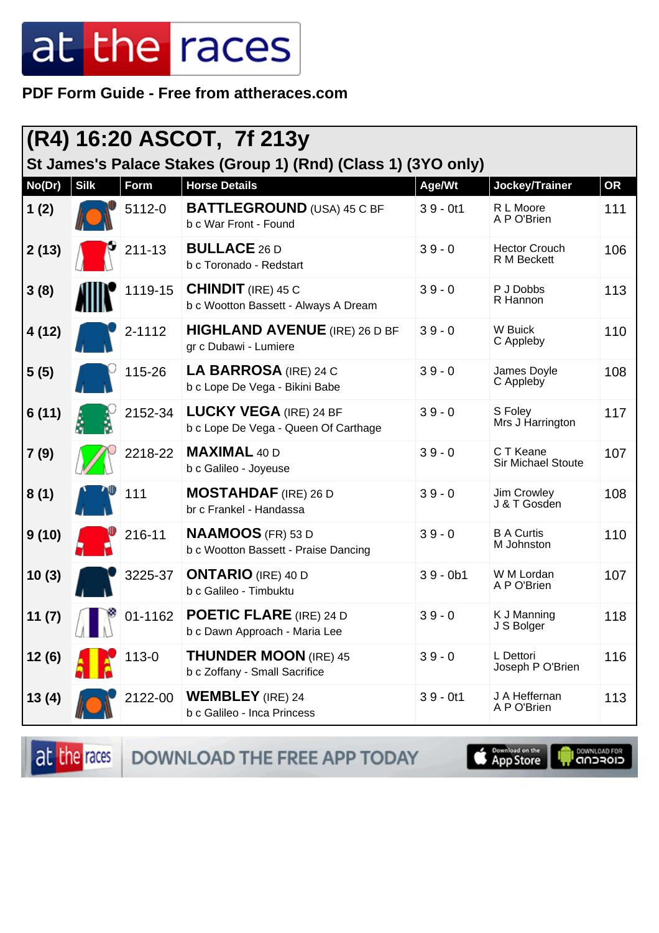PDF Form Guide - Free from attheraces.com

| (R4) 16:20 ASCOT, 7f 213y<br>St James's Palace Stakes (Group 1) (Rnd) (Class 1) (3YO only) |             |           |                                                                       |            |                                        |           |  |  |
|--------------------------------------------------------------------------------------------|-------------|-----------|-----------------------------------------------------------------------|------------|----------------------------------------|-----------|--|--|
| No(Dr)                                                                                     | <b>Silk</b> | Form      | <b>Horse Details</b>                                                  | Age/Wt     | Jockey/Trainer                         | <b>OR</b> |  |  |
| 1(2)                                                                                       |             | 5112-0    | <b>BATTLEGROUND</b> (USA) 45 C BF<br>b c War Front - Found            | $39 - 0t1$ | R L Moore<br>A P O'Brien               | 111       |  |  |
| 2(13)                                                                                      |             | 211-13    | <b>BULLACE 26 D</b><br>b c Toronado - Redstart                        | $39 - 0$   | <b>Hector Crouch</b><br>R M Beckett    | 106       |  |  |
| 3(8)                                                                                       |             | 1119-15   | <b>CHINDIT</b> (IRE) 45 C<br>b c Wootton Bassett - Always A Dream     | $39 - 0$   | P J Dobbs<br>R Hannon                  | 113       |  |  |
| 4(12)                                                                                      |             | 2-1112    | <b>HIGHLAND AVENUE</b> (IRE) 26 D BF<br>gr c Dubawi - Lumiere         | $39 - 0$   | W Buick<br>C Appleby                   | 110       |  |  |
| 5(5)                                                                                       |             | 115-26    | <b>LA BARROSA (IRE) 24 C</b><br>b c Lope De Vega - Bikini Babe        | $39 - 0$   | James Doyle<br>C Appleby               | 108       |  |  |
| 6(11)                                                                                      |             | 2152-34   | <b>LUCKY VEGA (IRE) 24 BF</b><br>b c Lope De Vega - Queen Of Carthage | $39 - 0$   | S Foley<br>Mrs J Harrington            | 117       |  |  |
| 7(9)                                                                                       |             | 2218-22   | <b>MAXIMAL 40 D</b><br>b c Galileo - Joyeuse                          | $39 - 0$   | C T Keane<br><b>Sir Michael Stoute</b> | 107       |  |  |
| 8(1)                                                                                       |             | 111       | <b>MOSTAHDAF</b> (IRE) 26 D<br>br c Frankel - Handassa                | $39 - 0$   | Jim Crowley<br>J & T Gosden            | 108       |  |  |
| 9(10)                                                                                      |             | 216-11    | <b>NAAMOOS</b> (FR) 53 D<br>b c Wootton Bassett - Praise Dancing      | $39 - 0$   | <b>B A Curtis</b><br>M Johnston        | 110       |  |  |
| 10(3)                                                                                      |             | 3225-37   | <b>ONTARIO</b> (IRE) 40 D<br>b c Galileo - Timbuktu                   | $39 - 0b1$ | W M Lordan<br>A P O'Brien              | 107       |  |  |
| 11(7)                                                                                      |             | 01-1162   | <b>POETIC FLARE</b> (IRE) 24 D<br>b c Dawn Approach - Maria Lee       | $39 - 0$   | K J Manning<br>J S Bolger              | 118       |  |  |
| 12(6)                                                                                      |             | $113 - 0$ | <b>THUNDER MOON (IRE) 45</b><br>b c Zoffany - Small Sacrifice         | $39 - 0$   | L Dettori<br>Joseph P O'Brien          | 116       |  |  |
| 13(4)                                                                                      |             | 2122-00   | <b>WEMBLEY</b> (IRE) 24<br>b c Galileo - Inca Princess                | $39 - 0t1$ | J A Heffernan<br>A P O'Brien           | 113       |  |  |

at the races DOWNLOAD THE FREE APP TODAY

App Store

**OOWNLOAD FOR**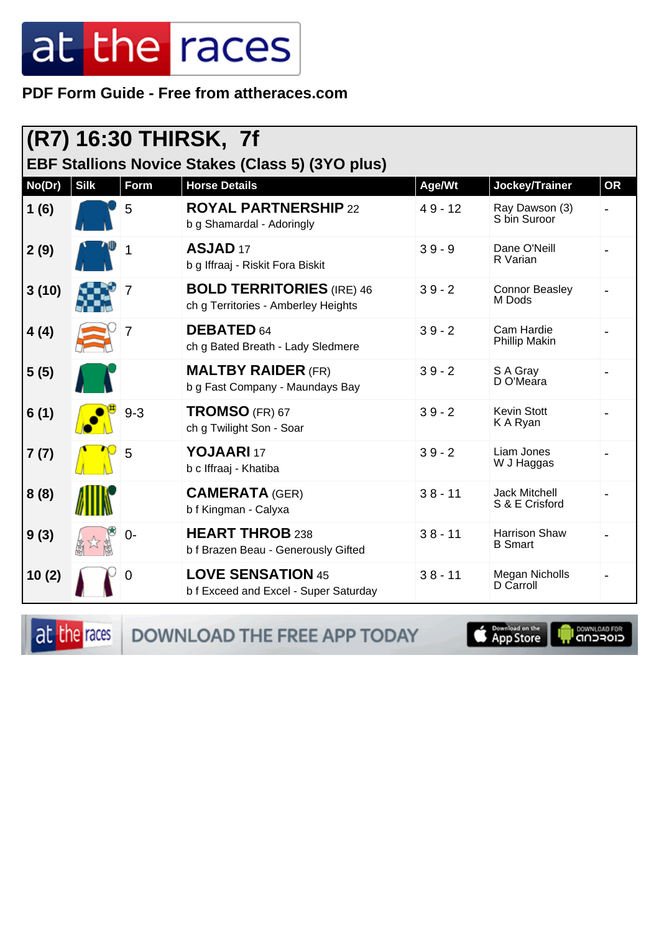#### PDF Form Guide - Free from attheraces.com

|                                                         |             |         | (R7) 16:30 THIRSK, 7f                                                   |           |                                        |           |  |  |
|---------------------------------------------------------|-------------|---------|-------------------------------------------------------------------------|-----------|----------------------------------------|-----------|--|--|
| <b>EBF Stallions Novice Stakes (Class 5) (3YO plus)</b> |             |         |                                                                         |           |                                        |           |  |  |
| No(Dr)                                                  | <b>Silk</b> | Form    | <b>Horse Details</b>                                                    | Age/Wt    | Jockey/Trainer                         | <b>OR</b> |  |  |
| 1(6)                                                    |             | 5       | <b>ROYAL PARTNERSHIP 22</b><br>b g Shamardal - Adoringly                | $49 - 12$ | Ray Dawson (3)<br>S bin Suroor         |           |  |  |
| 2(9)                                                    |             |         | ASJAD <sub>17</sub><br>b g Iffraaj - Riskit Fora Biskit                 | $39 - 9$  | Dane O'Neill<br>R Varian               |           |  |  |
| 3(10)                                                   |             | 7       | <b>BOLD TERRITORIES</b> (IRE) 46<br>ch g Territories - Amberley Heights | $39 - 2$  | <b>Connor Beasley</b><br>M Dods        |           |  |  |
| 4(4)                                                    |             | 7       | <b>DEBATED 64</b><br>ch g Bated Breath - Lady Sledmere                  | $39 - 2$  | Cam Hardie<br><b>Phillip Makin</b>     |           |  |  |
| 5(5)                                                    |             |         | <b>MALTBY RAIDER (FR)</b><br>b g Fast Company - Maundays Bay            | $39 - 2$  | S A Gray<br>D O'Meara                  |           |  |  |
| 6(1)                                                    |             | $9 - 3$ | <b>TROMSO</b> (FR) 67<br>ch g Twilight Son - Soar                       | $39 - 2$  | <b>Kevin Stott</b><br>K A Ryan         |           |  |  |
| 7(7)                                                    |             | 5       | YOJAARI 17<br>b c Iffraaj - Khatiba                                     | $39 - 2$  | Liam Jones<br>W J Haggas               |           |  |  |
| 8(8)                                                    |             |         | <b>CAMERATA (GER)</b><br>b f Kingman - Calyxa                           | $38 - 11$ | <b>Jack Mitchell</b><br>S & E Crisford |           |  |  |
| 9(3)                                                    |             | $0-$    | <b>HEART THROB 238</b><br>b f Brazen Beau - Generously Gifted           | $38 - 11$ | Harrison Shaw<br><b>B</b> Smart        |           |  |  |
| 10(2)                                                   |             | 0       | <b>LOVE SENSATION 45</b><br>b f Exceed and Excel - Super Saturday       | $38 - 11$ | Megan Nicholls<br>D Carroll            |           |  |  |

at the races DOWNLOAD THE FREE APP TODAY

**Completed on the**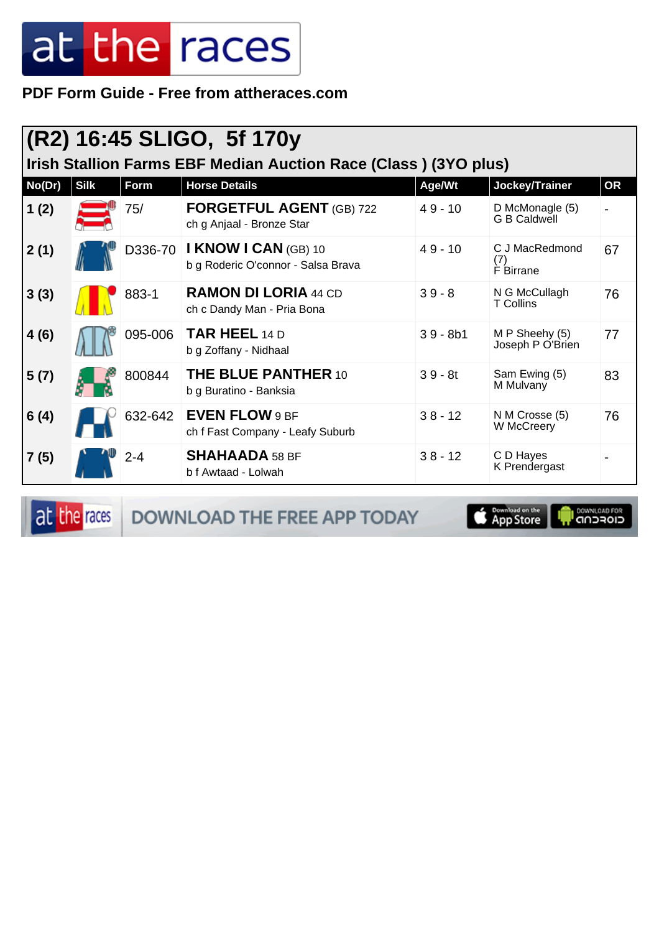PDF Form Guide - Free from attheraces.com

|        | (R2) 16:45 SLIGO, 5f 170y<br>Irish Stallion Farms EBF Median Auction Race (Class) (3YO plus) |         |                                                                   |            |                                        |           |  |  |  |
|--------|----------------------------------------------------------------------------------------------|---------|-------------------------------------------------------------------|------------|----------------------------------------|-----------|--|--|--|
| No(Dr) | <b>Silk</b>                                                                                  | Form    | <b>Horse Details</b>                                              | Age/Wt     | Jockey/Trainer                         | <b>OR</b> |  |  |  |
| 1(2)   |                                                                                              | 75/     | <b>FORGETFUL AGENT (GB) 722</b><br>ch g Anjaal - Bronze Star      | $49 - 10$  | D McMonagle (5)<br><b>G B Caldwell</b> |           |  |  |  |
| 2(1)   |                                                                                              | D336-70 | <b>I KNOW I CAN (GB) 10</b><br>b g Roderic O'connor - Salsa Brava | $49 - 10$  | C J MacRedmond<br>(7)<br>F Birrane     | 67        |  |  |  |
| 3(3)   |                                                                                              | 883-1   | <b>RAMON DI LORIA 44 CD</b><br>ch c Dandy Man - Pria Bona         | $39 - 8$   | N G McCullagh<br><b>T</b> Collins      | 76        |  |  |  |
| 4(6)   |                                                                                              | 095-006 | <b>TAR HEEL 14 D</b><br>b g Zoffany - Nidhaal                     | $39 - 8b1$ | M P Sheehy (5)<br>Joseph P O'Brien     | 77        |  |  |  |
| 5(7)   |                                                                                              | 800844  | <b>THE BLUE PANTHER 10</b><br>b g Buratino - Banksia              | $39 - 8t$  | Sam Ewing (5)<br>M Mulvany             | 83        |  |  |  |
| 6(4)   |                                                                                              | 632-642 | <b>EVEN FLOW 9 BF</b><br>ch f Fast Company - Leafy Suburb         | $38 - 12$  | N M Crosse (5)<br>W McCreery           | 76        |  |  |  |
| 7(5)   |                                                                                              | $2 - 4$ | <b>SHAHAADA 58 BF</b><br>b f Awtaad - Lolwah                      | $38 - 12$  | C D Hayes<br>K Prendergast             |           |  |  |  |

at the races

DOWNLOAD THE FREE APP TODAY

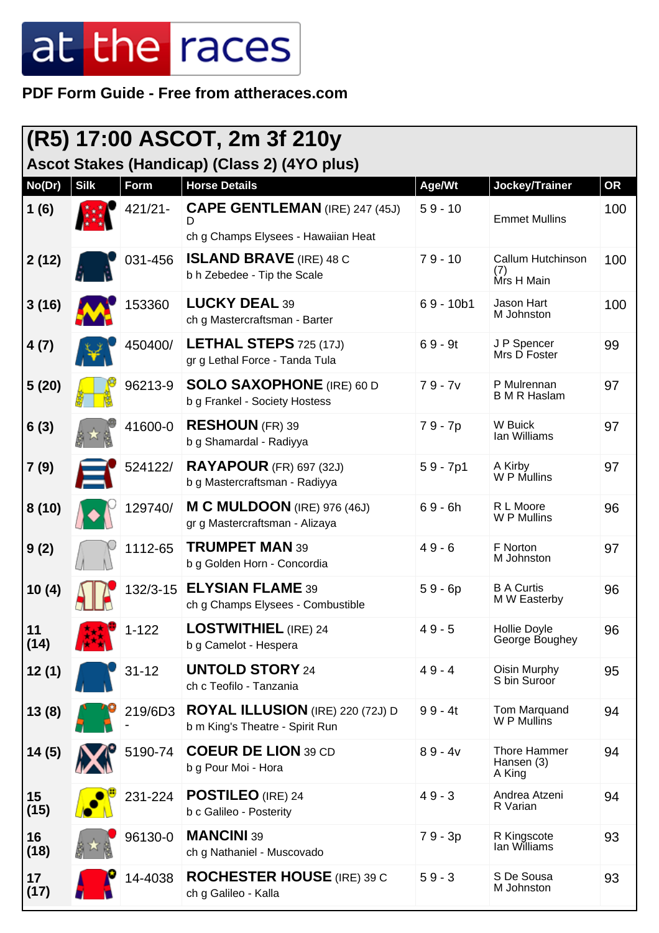**PDF Form Guide - Free from attheraces.com**

|            | (R5) 17:00 ASCOT, 2m 3f 210y<br>Ascot Stakes (Handicap) (Class 2) (4YO plus) |             |                                                                                    |             |                                        |           |  |  |
|------------|------------------------------------------------------------------------------|-------------|------------------------------------------------------------------------------------|-------------|----------------------------------------|-----------|--|--|
| No(Dr)     | <b>Silk</b>                                                                  | <b>Form</b> | <b>Horse Details</b>                                                               | Age/Wt      | Jockey/Trainer                         | <b>OR</b> |  |  |
| 1(6)       |                                                                              | $421/21 -$  | <b>CAPE GENTLEMAN</b> (IRE) 247 (45J)<br>D.<br>ch g Champs Elysees - Hawaiian Heat | $59 - 10$   | <b>Emmet Mullins</b>                   | 100       |  |  |
| 2(12)      |                                                                              | 031-456     | <b>ISLAND BRAVE</b> (IRE) 48 C<br>b h Zebedee - Tip the Scale                      | $79 - 10$   | Callum Hutchinson<br>(7)<br>Mrs H Main | 100       |  |  |
| 3(16)      |                                                                              | 153360      | <b>LUCKY DEAL 39</b><br>ch g Mastercraftsman - Barter                              | $69 - 10b1$ | Jason Hart<br>M Johnston               | 100       |  |  |
| 4(7)       |                                                                              | 450400/     | <b>LETHAL STEPS</b> $725(17J)$<br>gr g Lethal Force - Tanda Tula                   | $69 - 9t$   | J P Spencer<br>Mrs D Foster            | 99        |  |  |
| 5(20)      |                                                                              | 96213-9     | <b>SOLO SAXOPHONE</b> (IRE) 60 D<br>b g Frankel - Society Hostess                  | $79 - 7v$   | P Mulrennan<br><b>B M R Haslam</b>     | 97        |  |  |
| 6(3)       |                                                                              | 41600-0     | <b>RESHOUN (FR) 39</b><br>b g Shamardal - Radiyya                                  | 79 - 7p     | W Buick<br>lan Williams                | 97        |  |  |
| 7(9)       |                                                                              | 524122/     | <b>RAYAPOUR</b> (FR) 697 (32J)<br>b g Mastercraftsman - Radiyya                    | $59 - 7p1$  | A Kirby<br>W P Mullins                 | 97        |  |  |
| 8(10)      |                                                                              | 129740/     | M C MULDOON (IRE) 976 (46J)<br>gr g Mastercraftsman - Alizaya                      | $69 - 6h$   | R L Moore<br>W P Mullins               | 96        |  |  |
| 9(2)       |                                                                              | 1112-65     | <b>TRUMPET MAN 39</b><br>b g Golden Horn - Concordia                               | $49 - 6$    | F Norton<br>M Johnston                 | 97        |  |  |
| 10(4)      |                                                                              | 132/3-15    | <b>ELYSIAN FLAME 39</b><br>ch g Champs Elysees - Combustible                       | $59 - 6p$   | <b>B A Curtis</b><br>M W Easterby      | 96        |  |  |
| 11<br>(14) |                                                                              | $1 - 122$   | <b>LOSTWITHIEL</b> (IRE) 24<br>b g Camelot - Hespera                               | $49 - 5$    | Hollie Doyle<br>George Boughey         | 96        |  |  |
| 12(1)      |                                                                              | $31 - 12$   | <b>UNTOLD STORY 24</b><br>ch c Teofilo - Tanzania                                  | $49 - 4$    | Oisin Murphy<br>S bin Suroor           | 95        |  |  |
| 13(8)      |                                                                              | 219/6D3     | <b>ROYAL ILLUSION</b> (IRE) 220 (72J) D<br>b m King's Theatre - Spirit Run         | $99 - 4t$   | Tom Marquand<br>W P Mullins            | 94        |  |  |
| 14(5)      |                                                                              | 5190-74     | <b>COEUR DE LION 39 CD</b><br>b g Pour Moi - Hora                                  | $89 - 4v$   | Thore Hammer<br>Hansen (3)<br>A King   | 94        |  |  |
| 15<br>(15) |                                                                              | 231-224     | <b>POSTILEO</b> (IRE) 24<br>b c Galileo - Posterity                                | $49 - 3$    | Andrea Atzeni<br>R Varian              | 94        |  |  |
| 16<br>(18) |                                                                              | 96130-0     | <b>MANCINI 39</b><br>ch g Nathaniel - Muscovado                                    | 79 - 3p     | R Kingscote<br>Ian Williams            | 93        |  |  |
| 17<br>(17) |                                                                              | 14-4038     | <b>ROCHESTER HOUSE</b> (IRE) 39 C<br>ch g Galileo - Kalla                          | $59 - 3$    | S De Sousa<br>M Johnston               | 93        |  |  |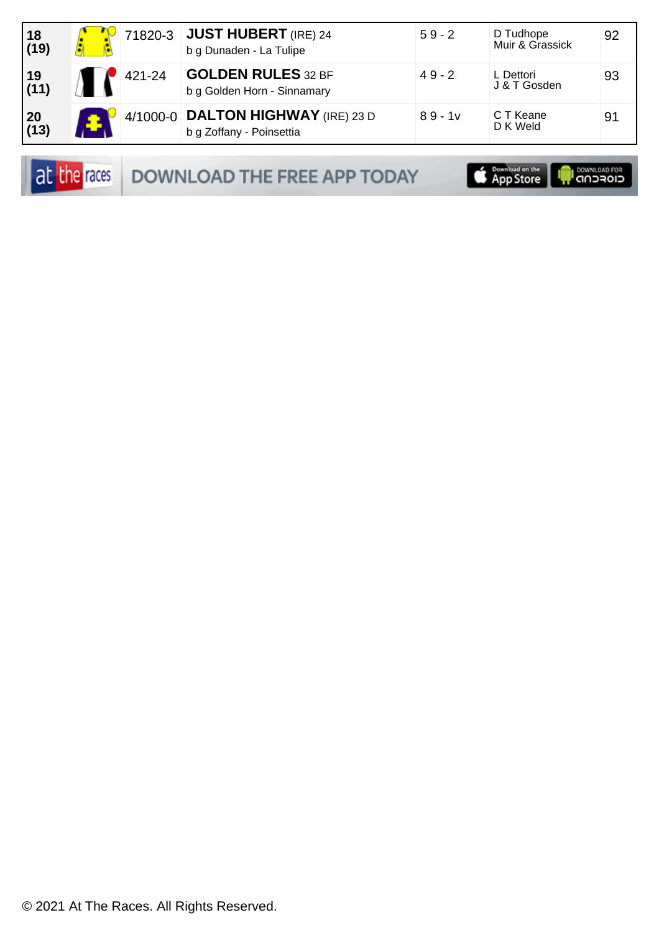| $ 18$<br>(19)                                            |        | 71820-3 JUST HUBERT (IRE) 24<br>b g Dunaden - La Tulipe        | $59 - 2$  | D Tudhope<br>Muir & Grassick | 92 |
|----------------------------------------------------------|--------|----------------------------------------------------------------|-----------|------------------------------|----|
| $\left  \begin{array}{c} 19 \\ (11) \end{array} \right $ | 421-24 | <b>GOLDEN RULES 32 BF</b><br>b g Golden Horn - Sinnamary       | $49 - 2$  | L Dettori<br>J & T Gosden    | 93 |
| $\begin{array}{ c} 20 \\ (13) \end{array}$               |        | 4/1000-0 DALTON HIGHWAY (IRE) 23 D<br>b g Zoffany - Poinsettia | $89 - 1v$ | C T Keane<br>D K Weld        | 91 |

at the races DOWNLOAD THE FREE APP TODAY

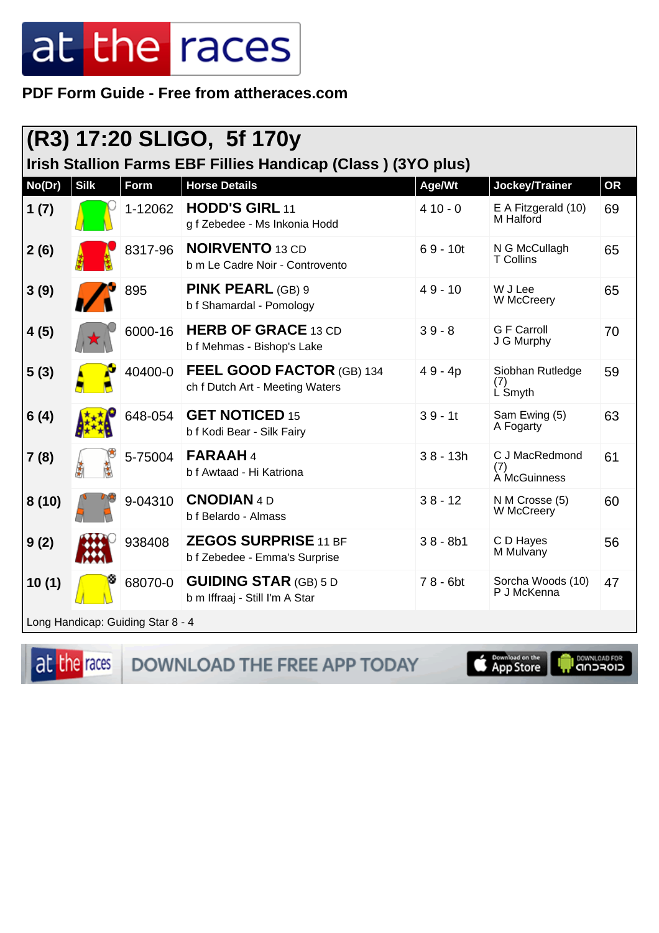PDF Form Guide - Free from attheraces.com

|                                                              | (R3) 17:20 SLIGO, 5f 170y |                                   |                                                                |            |                                       |           |  |  |
|--------------------------------------------------------------|---------------------------|-----------------------------------|----------------------------------------------------------------|------------|---------------------------------------|-----------|--|--|
| Irish Stallion Farms EBF Fillies Handicap (Class) (3YO plus) |                           |                                   |                                                                |            |                                       |           |  |  |
| No(Dr)                                                       | <b>Silk</b>               | Form                              | <b>Horse Details</b>                                           | Age/Wt     | Jockey/Trainer                        | <b>OR</b> |  |  |
| 1 $(7)$                                                      |                           | 1-12062                           | <b>HODD'S GIRL 11</b><br>g f Zebedee - Ms Inkonia Hodd         | $410 - 0$  | E A Fitzgerald (10)<br>M Halford      | 69        |  |  |
| 2(6)                                                         |                           | 8317-96                           | <b>NOIRVENTO</b> 13 CD<br>b m Le Cadre Noir - Controvento      | $69 - 10t$ | N G McCullagh<br><b>T</b> Collins     | 65        |  |  |
| 3(9)                                                         |                           | 895                               | <b>PINK PEARL (GB) 9</b><br>b f Shamardal - Pomology           | $49 - 10$  | W J Lee<br>W McCreery                 | 65        |  |  |
| 4(5)                                                         |                           | 6000-16                           | <b>HERB OF GRACE 13 CD</b><br>b f Mehmas - Bishop's Lake       | $39 - 8$   | <b>G F Carroll</b><br>J G Murphy      | 70        |  |  |
| 5(3)                                                         |                           | 40400-0                           | FEEL GOOD FACTOR (GB) 134<br>ch f Dutch Art - Meeting Waters   | $49 - 4p$  | Siobhan Rutledge<br>(7)<br>L Smyth    | 59        |  |  |
| 6(4)                                                         |                           | 648-054                           | <b>GET NOTICED 15</b><br>b f Kodi Bear - Silk Fairy            | $39 - 11$  | Sam Ewing (5)<br>A Fogarty            | 63        |  |  |
| 7(8)                                                         |                           | 5-75004                           | FARAAH4<br>b f Awtaad - Hi Katriona                            | $38 - 13h$ | C J MacRedmond<br>(7)<br>A McGuinness | 61        |  |  |
| 8(10)                                                        |                           | 9-04310                           | <b>CNODIAN 4D</b><br>b f Belardo - Almass                      | $38 - 12$  | N M Crosse (5)<br>W McCreery          | 60        |  |  |
| 9(2)                                                         |                           | 938408                            | <b>ZEGOS SURPRISE 11 BF</b><br>b f Zebedee - Emma's Surprise   | $38 - 8b1$ | C D Hayes<br>M Mulvany                | 56        |  |  |
| 10(1)                                                        |                           | 68070-0                           | <b>GUIDING STAR (GB) 5 D</b><br>b m Iffraaj - Still I'm A Star | $78 - 6bt$ | Sorcha Woods (10)<br>P J McKenna      | 47        |  |  |
|                                                              |                           | Long Handicap: Guiding Star 8 - 4 |                                                                |            |                                       |           |  |  |

at the races

DOWNLOAD THE FREE APP TODAY

App Store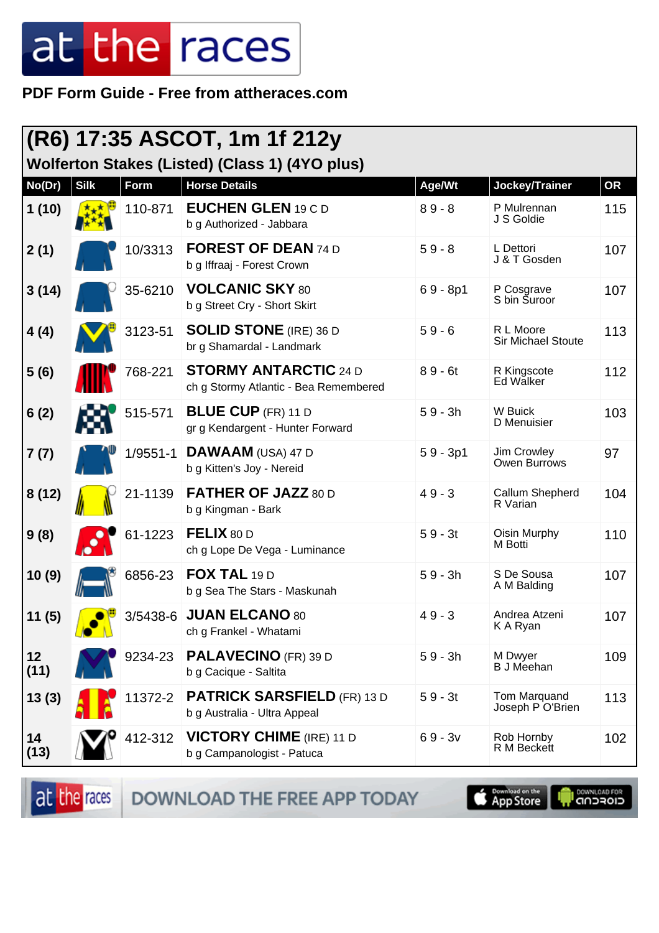PDF Form Guide - Free from attheraces.com

|            | (R6) 17:35 ASCOT, 1m 1f 212y<br>Wolferton Stakes (Listed) (Class 1) (4YO plus) |            |                                                                       |            |                                  |     |  |  |
|------------|--------------------------------------------------------------------------------|------------|-----------------------------------------------------------------------|------------|----------------------------------|-----|--|--|
| No(Dr)     | <b>Silk</b>                                                                    | Form       | <b>Horse Details</b>                                                  | Age/Wt     | Jockey/Trainer                   | OR  |  |  |
| 1(10)      |                                                                                | 110-871    | EUCHEN GLEN 19 C D<br>b g Authorized - Jabbara                        | $89 - 8$   | P Mulrennan<br>J S Goldie        | 115 |  |  |
| 2(1)       |                                                                                | 10/3313    | <b>FOREST OF DEAN 74 D</b><br>b g Iffraaj - Forest Crown              | $59 - 8$   | L Dettori<br>J & T Gosden        | 107 |  |  |
| 3(14)      |                                                                                | 35-6210    | <b>VOLCANIC SKY 80</b><br>b g Street Cry - Short Skirt                | $69 - 8p1$ | P Cosgrave<br>S bin Suroor       | 107 |  |  |
| 4(4)       |                                                                                | 3123-51    | <b>SOLID STONE</b> (IRE) 36 D<br>br g Shamardal - Landmark            | $59 - 6$   | R L Moore<br>Sir Michael Stoute  | 113 |  |  |
| 5(6)       |                                                                                | 768-221    | <b>STORMY ANTARCTIC 24 D</b><br>ch g Stormy Atlantic - Bea Remembered | $89 - 6t$  | R Kingscote<br>Ed Walker         | 112 |  |  |
| 6(2)       |                                                                                | 515-571    | <b>BLUE CUP</b> (FR) 11 D<br>gr g Kendargent - Hunter Forward         | $59 - 3h$  | W Buick<br>D Menuisier           | 103 |  |  |
| 7(7)       |                                                                                | $1/9551-1$ | DAWAAM (USA) 47 D<br>b g Kitten's Joy - Nereid                        | $59 - 3p1$ | Jim Crowley<br>Owen Burrows      | 97  |  |  |
| 8(12)      |                                                                                | 21-1139    | <b>FATHER OF JAZZ 80 D</b><br>b g Kingman - Bark                      | $49 - 3$   | Callum Shepherd<br>R Varian      | 104 |  |  |
| 9(8)       |                                                                                | 61-1223    | FELIX 80 D<br>ch g Lope De Vega - Luminance                           | $59 - 3t$  | Oisin Murphy<br>M Botti          | 110 |  |  |
| 10(9)      |                                                                                | 6856-23    | FOX TAL 19 D<br>b g Sea The Stars - Maskunah                          | $59 - 3h$  | S De Sousa<br>A M Balding        | 107 |  |  |
| 11 (5)     |                                                                                |            | 3/5438-6 JUAN ELCANO 80<br>ch g Frankel - Whatami                     | $49 - 3$   | Andrea Atzeni<br>K A Ryan        | 107 |  |  |
| 12<br>(11) |                                                                                | 9234-23    | <b>PALAVECINO</b> (FR) 39 D<br>b g Cacique - Saltita                  | $59 - 3h$  | M Dwyer<br><b>B</b> J Meehan     | 109 |  |  |
| 13(3)      |                                                                                | 11372-2    | <b>PATRICK SARSFIELD (FR) 13 D</b><br>b g Australia - Ultra Appeal    | $59 - 3t$  | Tom Marquand<br>Joseph P O'Brien | 113 |  |  |
| 14<br>(13) |                                                                                | 412-312    | <b>VICTORY CHIME</b> (IRE) 11 D<br>b g Campanologist - Patuca         | $69 - 3v$  | Rob Hornby<br>R M Beckett        | 102 |  |  |

at the races DOWNLOAD THE FREE APP TODAY **Completed on the**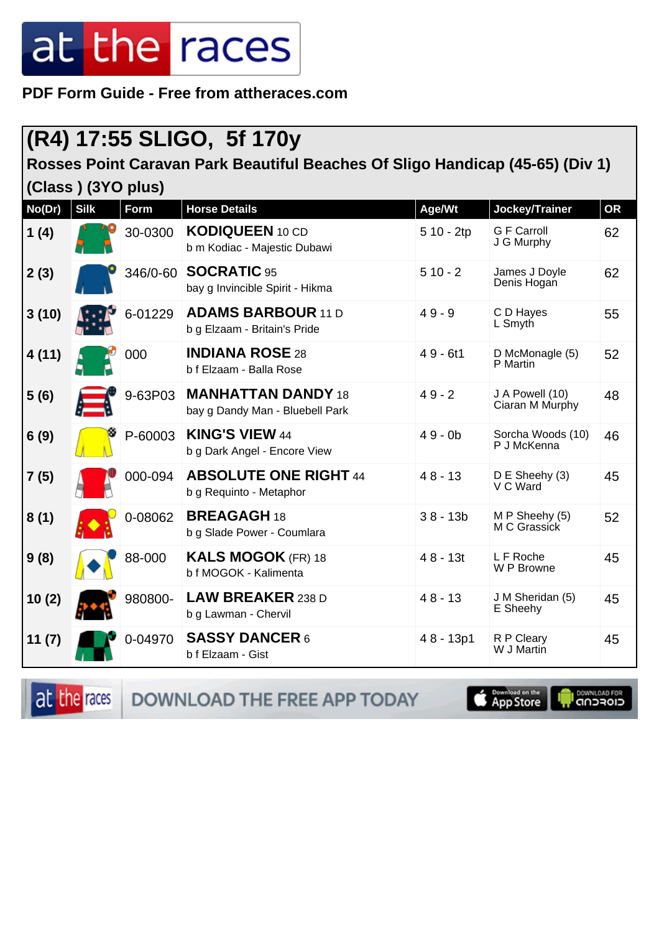**PDF Form Guide - Free from attheraces.com**

### **(R4) 17:55 SLIGO, 5f 170y**

**Rosses Point Caravan Park Beautiful Beaches Of Sligo Handicap (45-65) (Div 1)**

**(Class ) (3YO plus)**

| No(Dr) | <b>Silk</b> | <b>Form</b> | <b>Horse Details</b>                                         | Age/Wt     | Jockey/Trainer                     | <b>OR</b> |
|--------|-------------|-------------|--------------------------------------------------------------|------------|------------------------------------|-----------|
| 1(4)   |             | 30-0300     | <b>KODIQUEEN</b> 10 CD<br>b m Kodiac - Majestic Dubawi       | 5 10 - 2tp | <b>G F Carroll</b><br>J G Murphy   | 62        |
| 2(3)   |             | 346/0-60    | <b>SOCRATIC 95</b><br>bay g Invincible Spirit - Hikma        | $510 - 2$  | James J Doyle<br>Denis Hogan       | 62        |
| 3(10)  |             | 6-01229     | <b>ADAMS BARBOUR 11 D</b><br>b g Elzaam - Britain's Pride    | $49 - 9$   | C D Hayes<br>L Smyth               | 55        |
| 4(11)  |             | 000         | <b>INDIANA ROSE 28</b><br>b f Elzaam - Balla Rose            | $49 - 6t1$ | D McMonagle (5)<br>P Martin        | 52        |
| 5(6)   |             | 9-63P03     | <b>MANHATTAN DANDY 18</b><br>bay g Dandy Man - Bluebell Park | $49 - 2$   | J A Powell (10)<br>Ciaran M Murphy | 48        |
| 6(9)   |             | P-60003     | <b>KING'S VIEW 44</b><br>b g Dark Angel - Encore View        | $49 - 0b$  | Sorcha Woods (10)<br>P J McKenna   | 46        |
| 7(5)   |             | 000-094     | <b>ABSOLUTE ONE RIGHT 44</b><br>b g Requinto - Metaphor      | $48 - 13$  | D E Sheehy (3)<br>V C Ward         | 45        |
| 8(1)   |             | 0-08062     | <b>BREAGAGH18</b><br>b g Slade Power - Coumlara              | $38 - 13b$ | M P Sheehy (5)<br>M C Grassick     | 52        |
| 9(8)   |             | 88-000      | <b>KALS MOGOK</b> (FR) 18<br>b f MOGOK - Kalimenta           | $48 - 13t$ | L F Roche<br>W P Browne            | 45        |
| 10(2)  |             | 980800-     | <b>LAW BREAKER 238 D</b><br>b g Lawman - Chervil             | $48 - 13$  | J M Sheridan (5)<br>E Sheehy       | 45        |
| 11(7)  |             | 0-04970     | <b>SASSY DANCER 6</b><br>b f Elzaam - Gist                   | 48 - 13p1  | R P Cleary<br>W J Martin           | 45        |

at the races

DOWNLOAD THE FREE APP TODAY

**S** Download on the

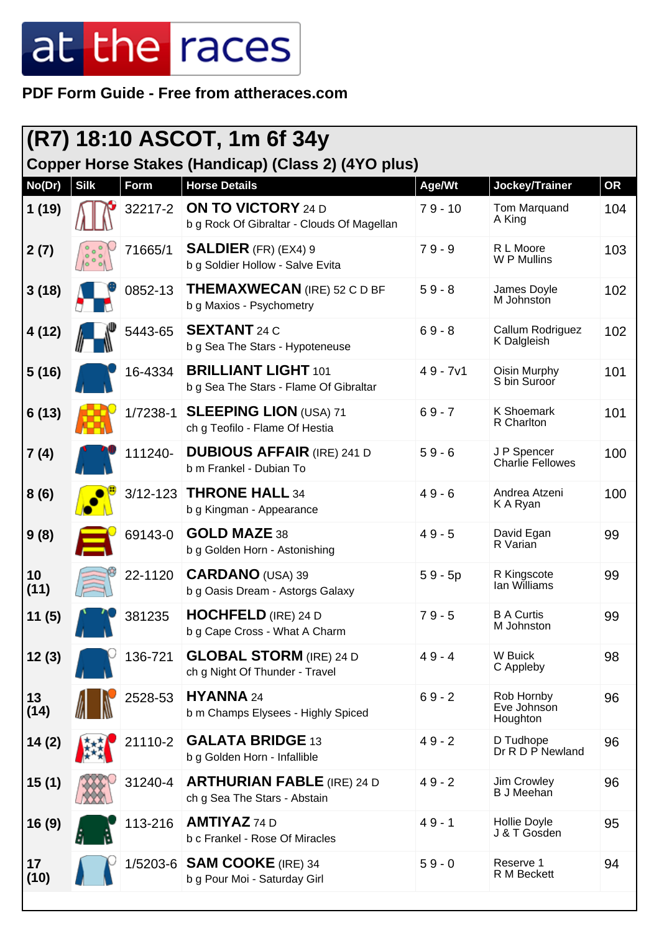**PDF Form Guide - Free from attheraces.com**

| (R7) 18:10 ASCOT, 1m 6f 34y |              |              |                                                                         |            |                                        |           |
|-----------------------------|--------------|--------------|-------------------------------------------------------------------------|------------|----------------------------------------|-----------|
|                             |              |              | Copper Horse Stakes (Handicap) (Class 2) (4YO plus)                     |            |                                        |           |
| No(Dr)                      | <b>Silk</b>  | <b>Form</b>  | <b>Horse Details</b>                                                    | Age/Wt     | Jockey/Trainer                         | <b>OR</b> |
| 1(19)                       |              | 32217-2      | <b>ON TO VICTORY 24 D</b><br>b g Rock Of Gibraltar - Clouds Of Magellan | $79 - 10$  | Tom Marquand<br>A King                 | 104       |
| 2(7)                        | $10^{\circ}$ | 71665/1      | <b>SALDIER</b> (FR) (EX4) 9<br>b g Soldier Hollow - Salve Evita         | $79 - 9$   | R L Moore<br>W P Mullins               | 103       |
| 3(18)                       |              | 0852-13      | THEMAXWECAN (IRE) 52 C D BF<br>b g Maxios - Psychometry                 | $59 - 8$   | James Doyle<br>M Johnston              | 102       |
| 4(12)                       |              | 5443-65      | <b>SEXTANT</b> 24 C<br>b g Sea The Stars - Hypoteneuse                  | $69 - 8$   | Callum Rodriguez<br>K Dalgleish        | 102       |
| 5(16)                       |              | 16-4334      | <b>BRILLIANT LIGHT 101</b><br>b g Sea The Stars - Flame Of Gibraltar    | $49 - 7v1$ | Oisin Murphy<br>S bin Suroor           | 101       |
| 6(13)                       |              | 1/7238-1     | <b>SLEEPING LION (USA) 71</b><br>ch g Teofilo - Flame Of Hestia         | $69 - 7$   | <b>K Shoemark</b><br>R Charlton        | 101       |
| 7(4)                        |              | 111240-      | <b>DUBIOUS AFFAIR (IRE) 241 D</b><br>b m Frankel - Dubian To            | $59 - 6$   | J P Spencer<br><b>Charlie Fellowes</b> | 100       |
| 8(6)                        |              | $3/12 - 123$ | <b>THRONE HALL 34</b><br>b g Kingman - Appearance                       | $49 - 6$   | Andrea Atzeni<br>K A Ryan              | 100       |
| 9(8)                        |              | 69143-0      | <b>GOLD MAZE 38</b><br>b g Golden Horn - Astonishing                    | $49 - 5$   | David Egan<br>R Varian                 | 99        |
| 10<br>(11)                  |              | 22-1120      | <b>CARDANO</b> (USA) 39<br>b g Oasis Dream - Astorgs Galaxy             | $59 - 5p$  | R Kingscote<br>Ian Williams            | 99        |
| 11 (5)                      |              | 381235       | <b>HOCHFELD</b> (IRE) 24 D<br>b g Cape Cross - What A Charm             | $79 - 5$   | <b>B A Curtis</b><br>M Johnston        | 99        |
| 12(3)                       |              | 136-721      | <b>GLOBAL STORM</b> (IRE) 24 D<br>ch g Night Of Thunder - Travel        | $49 - 4$   | W Buick<br>C Appleby                   | 98        |
| 13<br>(14)                  |              | 2528-53      | HYANNA 24<br>b m Champs Elysees - Highly Spiced                         | $69 - 2$   | Rob Hornby<br>Eve Johnson<br>Houghton  | 96        |
| 14(2)                       |              | 21110-2      | <b>GALATA BRIDGE 13</b><br>b g Golden Horn - Infallible                 | $49 - 2$   | D Tudhope<br>Dr R D P Newland          | 96        |
| 15(1)                       |              | 31240-4      | <b>ARTHURIAN FABLE</b> (IRE) 24 D<br>ch g Sea The Stars - Abstain       | $49 - 2$   | Jim Crowley<br><b>B J Meehan</b>       | 96        |
| 16 (9)                      |              | 113-216      | <b>AMTIYAZ 74 D</b><br>b c Frankel - Rose Of Miracles                   | $49 - 1$   | Hollie Doyle<br>J & T Gosden           | 95        |
| 17<br>(10)                  |              | $1/5203 - 6$ | <b>SAM COOKE</b> (IRE) 34<br>b g Pour Moi - Saturday Girl               | $59 - 0$   | Reserve 1<br>R M Beckett               | 94        |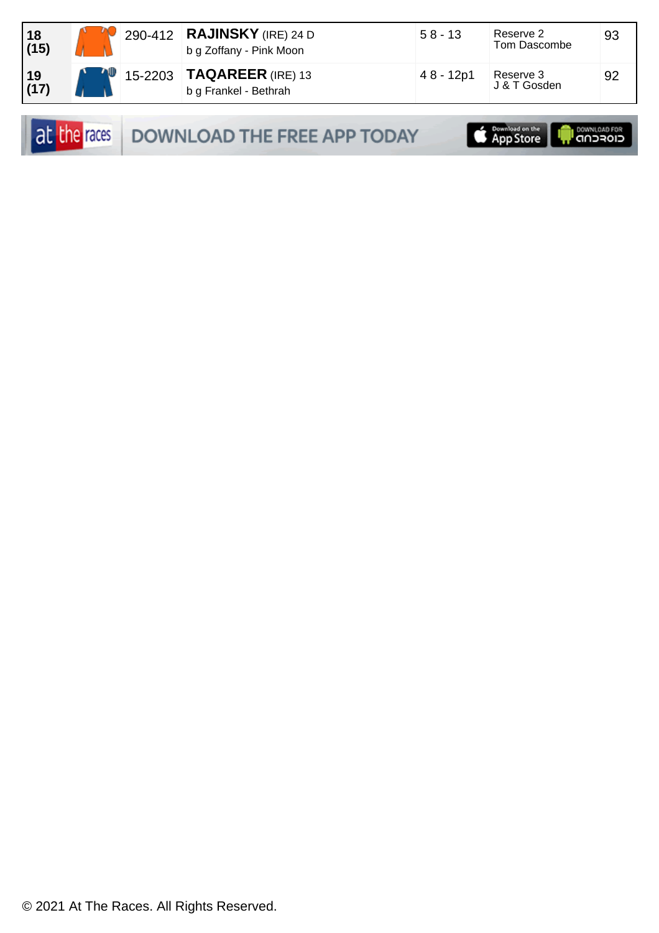| 18<br>(15) |  | 290-412 RAJINSKY (IRE) 24 D<br>b g Zoffany - Pink Moon      | $58 - 13$ | Reserve 2<br>Tom Dascombe | 93 |
|------------|--|-------------------------------------------------------------|-----------|---------------------------|----|
| 19<br>(17) |  | $15-2203$ <b>TAQAREER</b> (IRE) 13<br>b g Frankel - Bethrah | 48 - 12p1 | Reserve 3<br>J & T Gosden | 92 |

| at the races |  |  |
|--------------|--|--|
|              |  |  |

DOWNLOAD THE FREE APP TODAY

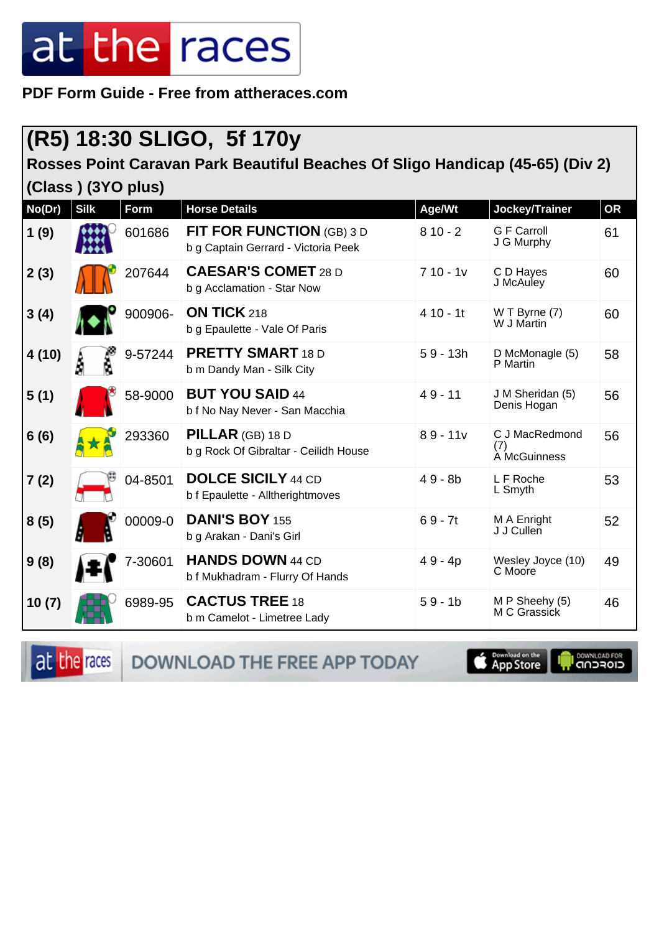**PDF Form Guide - Free from attheraces.com**

### **(R5) 18:30 SLIGO, 5f 170y**

**Rosses Point Caravan Park Beautiful Beaches Of Sligo Handicap (45-65) (Div 2)**

**(Class ) (3YO plus)**

| No(Dr) | <b>Silk</b> | <b>Form</b> | <b>Horse Details</b>                                                    | Age/Wt     | Jockey/Trainer                        | <b>OR</b> |
|--------|-------------|-------------|-------------------------------------------------------------------------|------------|---------------------------------------|-----------|
| 1(9)   |             | 601686      | <b>FIT FOR FUNCTION (GB) 3 D</b><br>b g Captain Gerrard - Victoria Peek | $810 - 2$  | <b>G</b> F Carroll<br>J G Murphy      | 61        |
| 2(3)   |             | 207644      | <b>CAESAR'S COMET 28 D</b><br>b g Acclamation - Star Now                | $710 - 1v$ | C D Hayes<br>J McAuley                | 60        |
| 3(4)   |             | 900906-     | <b>ON TICK 218</b><br>b g Epaulette - Vale Of Paris                     | $410 - 11$ | W T Byrne (7)<br>W J Martin           | 60        |
| 4(10)  | Å           | 9-57244     | <b>PRETTY SMART 18 D</b><br>b m Dandy Man - Silk City                   | $59 - 13h$ | D McMonagle (5)<br>P Martin           | 58        |
| 5(1)   |             | 58-9000     | <b>BUT YOU SAID 44</b><br>b f No Nay Never - San Macchia                | $49 - 11$  | J M Sheridan (5)<br>Denis Hogan       | 56        |
| 6(6)   |             | 293360      | PILLAR (GB) 18 D<br>b g Rock Of Gibraltar - Ceilidh House               | $89 - 11v$ | C J MacRedmond<br>(7)<br>À McGuinness | 56        |
| 7(2)   |             | 04-8501     | <b>DOLCE SICILY 44 CD</b><br>b f Epaulette - Alltherightmoves           | $49 - 8b$  | L F Roche<br>L Smyth                  | 53        |
| 8(5)   |             | 00009-0     | <b>DANI'S BOY 155</b><br>b g Arakan - Dani's Girl                       | $69 - 7t$  | M A Enright<br>J J Cullen             | 52        |
| 9(8)   |             | 7-30601     | <b>HANDS DOWN 44 CD</b><br>b f Mukhadram - Flurry Of Hands              | $49 - 4p$  | Wesley Joyce (10)<br>C Moore          | 49        |
| 10(7)  |             | 6989-95     | <b>CACTUS TREE 18</b><br>b m Camelot - Limetree Lady                    | $59 - 1b$  | M P Sheehy (5)<br>M C Grassick        | 46        |

at the races DOWNLOAD THE FREE APP TODAY **App Store I DOWNLOAD FOR**